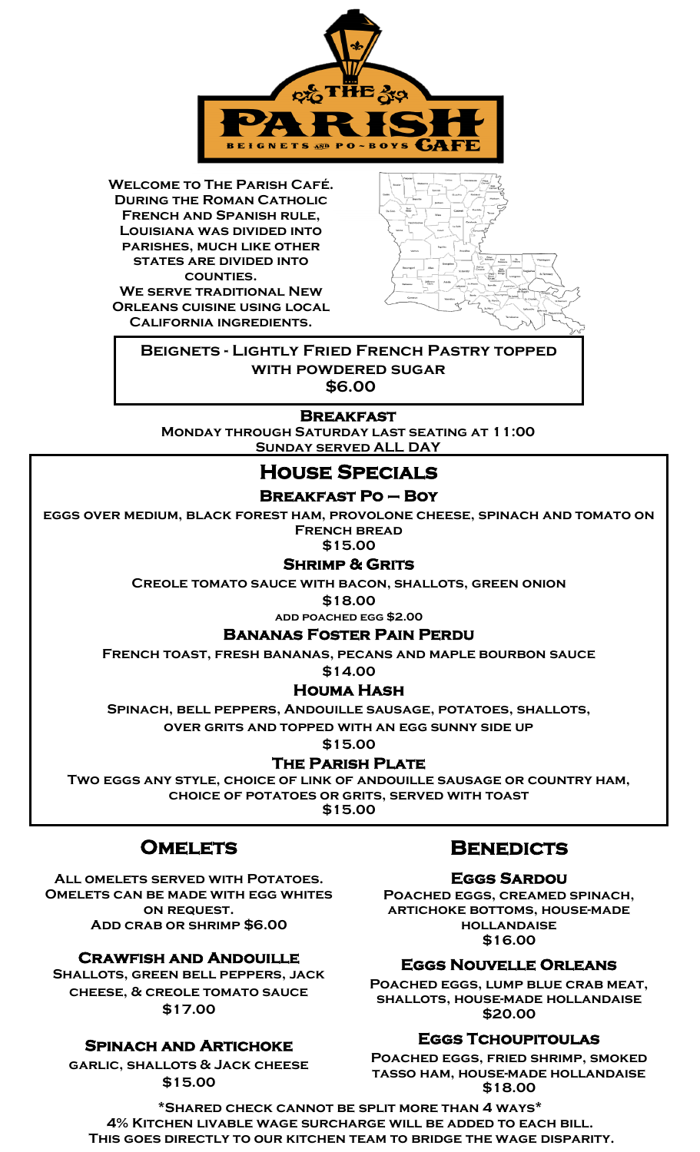

**Welcome to The Parish Café. During the Roman Catholic French and Spanish rule, Louisiana was divided into parishes, much like other states are divided into counties. We serve traditional New Orleans cuisine using local California ingredients.**



**Beignets - Lightly Fried French Pastry topped with powdered sugar \$6.00**

**BREAKFAST<br>MONDAY THROUGH SATURDAY LAST SEATING AT 11:00 Sunday served ALL DAY**

## **House Specials**

### **Breakfast Po – Boy**

**eggs over medium, black forest ham, provolone cheese, spinach and tomato on French bread** 

**\$15.00**

#### **Shrimp & Grits**

**Creole tomato sauce with bacon, shallots, green onion**

**\$18.00**

**add poached egg \$2.00**

#### **Bananas Foster Pain Perdu**

**French toast, fresh bananas, pecans and maple bourbon sauce** 

**\$14.00**

### **Houma Hash**

**Spinach, bell peppers, Andouille sausage, potatoes, shallots, over grits and topped with an egg sunny side up** 

**\$15.00**

**THE PARISH PLATE**<br>Two eggs any style, choice of link of andouille sausage or country ham, **choice of potatoes or grits, served with toast \$15.00**

## **Omelets**

**All omelets served with Potatoes. Omelets can be made with egg whites on request. Add crab or shrimp \$6.00**

#### **Crawfish and Andouille**

**Shallots, green bell peppers, jack cheese, & creole tomato sauce \$17.00**

### **Spinach and Artichoke**

**garlic, shallots & Jack cheese \$15.00**

## **Benedicts**

**Eggs Sardou Poached eggs, creamed spinach, artichoke bottoms, house-made hollandaise \$16.00**

#### **Eggs Nouvelle Orleans**

**Poached eggs, lump blue crab meat, shallots, house-made hollandaise \$20.00**

#### **Eggs Tchoupitoulas**

**Poached eggs, fried shrimp, smoked tasso ham, house-made hollandaise \$18.00**

**\*Shared check cannot be split more than 4 ways\* 4% Kitchen livable wage surcharge will be added to each bill. This goes directly to our kitchen team to bridge the wage disparity.**